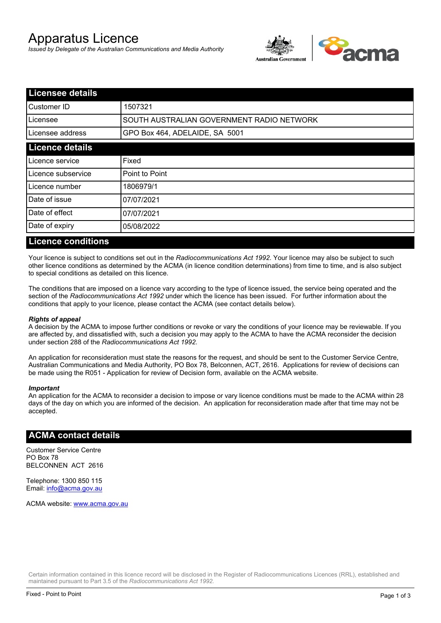# Apparatus Licence

*Issued by Delegate of the Australian Communications and Media Authority*



| <b>Licensee details</b> |                                           |  |
|-------------------------|-------------------------------------------|--|
| lCustomer ID            | 1507321                                   |  |
| ILicensee               | SOUTH AUSTRALIAN GOVERNMENT RADIO NETWORK |  |
| Licensee address        | GPO Box 464, ADELAIDE, SA 5001            |  |
| <b>Licence details</b>  |                                           |  |
| Licence service         | Fixed                                     |  |
| Licence subservice      | Point to Point                            |  |
| Licence number          | 1806979/1                                 |  |
| Date of issue           | 07/07/2021                                |  |
| Date of effect          | 07/07/2021                                |  |
| Date of expiry          | 05/08/2022                                |  |
|                         |                                           |  |

### **Licence conditions**

Your licence is subject to conditions set out in the *Radiocommunications Act 1992*. Your licence may also be subject to such other licence conditions as determined by the ACMA (in licence condition determinations) from time to time, and is also subject to special conditions as detailed on this licence.

The conditions that are imposed on a licence vary according to the type of licence issued, the service being operated and the section of the *Radiocommunications Act 1992* under which the licence has been issued. For further information about the conditions that apply to your licence, please contact the ACMA (see contact details below).

#### *Rights of appeal*

A decision by the ACMA to impose further conditions or revoke or vary the conditions of your licence may be reviewable. If you are affected by, and dissatisfied with, such a decision you may apply to the ACMA to have the ACMA reconsider the decision under section 288 of the *Radiocommunications Act 1992*.

An application for reconsideration must state the reasons for the request, and should be sent to the Customer Service Centre, Australian Communications and Media Authority, PO Box 78, Belconnen, ACT, 2616. Applications for review of decisions can be made using the R051 - Application for review of Decision form, available on the ACMA website.

#### *Important*

An application for the ACMA to reconsider a decision to impose or vary licence conditions must be made to the ACMA within 28 days of the day on which you are informed of the decision. An application for reconsideration made after that time may not be accepted.

#### **ACMA contact details**

Customer Service Centre PO Box 78 BELCONNEN ACT 2616

Telephone: 1300 850 115 Email: info@acma.gov.au

ACMA website: www.acma.gov.au

Certain information contained in this licence record will be disclosed in the Register of Radiocommunications Licences (RRL), established and maintained pursuant to Part 3.5 of the *Radiocommunications Act 1992.*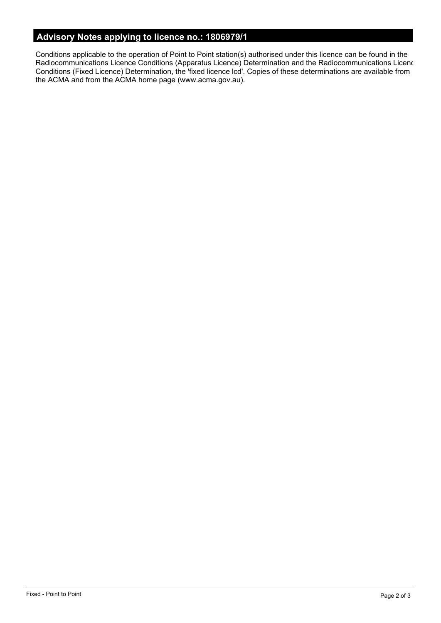# **Advisory Notes applying to licence no.: 1806979/1**

Conditions applicable to the operation of Point to Point station(s) authorised under this licence can be found in the Radiocommunications Licence Conditions (Apparatus Licence) Determination and the Radiocommunications Licence Conditions (Fixed Licence) Determination, the 'fixed licence lcd'. Copies of these determinations are available from the ACMA and from the ACMA home page (www.acma.gov.au).